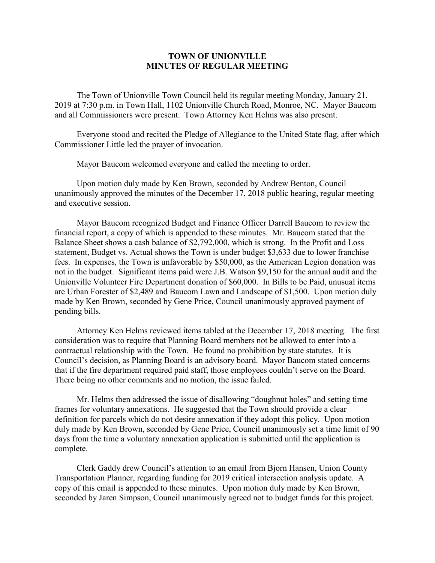## **TOWN OF UNIONVILLE MINUTES OF REGULAR MEETING**

The Town of Unionville Town Council held its regular meeting Monday, January 21, 2019 at 7:30 p.m. in Town Hall, 1102 Unionville Church Road, Monroe, NC. Mayor Baucom and all Commissioners were present. Town Attorney Ken Helms was also present.

Everyone stood and recited the Pledge of Allegiance to the United State flag, after which Commissioner Little led the prayer of invocation.

Mayor Baucom welcomed everyone and called the meeting to order.

Upon motion duly made by Ken Brown, seconded by Andrew Benton, Council unanimously approved the minutes of the December 17, 2018 public hearing, regular meeting and executive session.

Mayor Baucom recognized Budget and Finance Officer Darrell Baucom to review the financial report, a copy of which is appended to these minutes. Mr. Baucom stated that the Balance Sheet shows a cash balance of \$2,792,000, which is strong. In the Profit and Loss statement, Budget vs. Actual shows the Town is under budget \$3,633 due to lower franchise fees. In expenses, the Town is unfavorable by \$50,000, as the American Legion donation was not in the budget. Significant items paid were J.B. Watson \$9,150 for the annual audit and the Unionville Volunteer Fire Department donation of \$60,000. In Bills to be Paid, unusual items are Urban Forester of \$2,489 and Baucom Lawn and Landscape of \$1,500. Upon motion duly made by Ken Brown, seconded by Gene Price, Council unanimously approved payment of pending bills.

Attorney Ken Helms reviewed items tabled at the December 17, 2018 meeting. The first consideration was to require that Planning Board members not be allowed to enter into a contractual relationship with the Town. He found no prohibition by state statutes. It is Council's decision, as Planning Board is an advisory board. Mayor Baucom stated concerns that if the fire department required paid staff, those employees couldn't serve on the Board. There being no other comments and no motion, the issue failed.

Mr. Helms then addressed the issue of disallowing "doughnut holes" and setting time frames for voluntary annexations. He suggested that the Town should provide a clear definition for parcels which do not desire annexation if they adopt this policy. Upon motion duly made by Ken Brown, seconded by Gene Price, Council unanimously set a time limit of 90 days from the time a voluntary annexation application is submitted until the application is complete.

Clerk Gaddy drew Council's attention to an email from Bjorn Hansen, Union County Transportation Planner, regarding funding for 2019 critical intersection analysis update. A copy of this email is appended to these minutes. Upon motion duly made by Ken Brown, seconded by Jaren Simpson, Council unanimously agreed not to budget funds for this project.